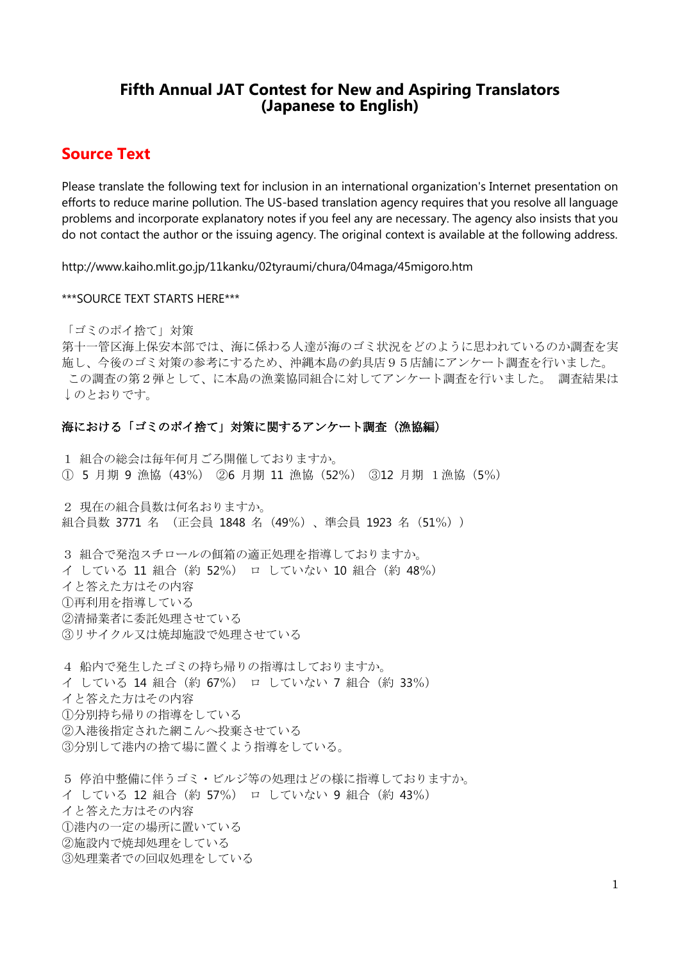## **Fifth Annual JAT Contest for New and Aspiring Translators (Japanese to English)**

## **Source Text**

Please translate the following text for inclusion in an international organization's Internet presentation on efforts to reduce marine pollution. The US-based translation agency requires that you resolve all language problems and incorporate explanatory notes if you feel any are necessary. The agency also insists that you do not contact the author or the issuing agency. The original context is available at the following address.

http://www.kaiho.mlit.go.jp/11kanku/02tyraumi/chura/04maga/45migoro.htm

#### \*\*\*SOURCE TEXT STARTS HERE\*\*\*

「ゴミのポイ捨て」対策

第十一管区海上保安本部では、海に係わる人達が海のゴミ状況をどのように思われているのか調査を実 施し、今後のゴミ対策の参考にするため、沖縄本島の釣具店95店舗にアンケート調査を行いました。 この調査の第2弾として、に本島の漁業協同組合に対してアンケート調査を行いました。 調査結果は ↓のとおりです。

#### 海における「ゴミのポイ捨て」対策に関するアンケート調査(漁協編)

1 組合の総会は毎年何月ごろ開催しておりますか。 ① 5 月期 9 漁協(43%) ②6 月期 11 漁協(52%) ③12 月期 1漁協(5%) 2 現在の組合員数は何名おりますか。 組合員数 3771 名 (正会員 1848 名 (49%)、準会員 1923 名 (51%)) 3 組合で発泡スチロールの餌箱の適正処理を指導しておりますか。 イ している 11 組合(約 52%) ロ していない 10 組合(約 48%) イと答えた方はその内容 ①再利用を指導している ②清掃業者に委託処理させている ③リサイクル又は焼却施設で処理させている

4 船内で発生したゴミの持ち帰りの指導はしておりますか。 イ している 14 組合(約 67%) ロ していない 7 組合(約 33%) イと答えた方はその内容 ①分別持ち帰りの指導をしている ②入港後指定された網こんへ投棄させている ③分別して港内の捨て場に置くよう指導をしている。

5 停泊中整備に伴うゴミ・ビルジ等の処理はどの様に指導しておりますか。 イ している 12 組合(約 57%) ロ していない 9 組合(約 43%) イと答えた方はその内容 ①港内の一定の場所に置いている ②施設内で焼却処理をしている ③処理業者での回収処理をしている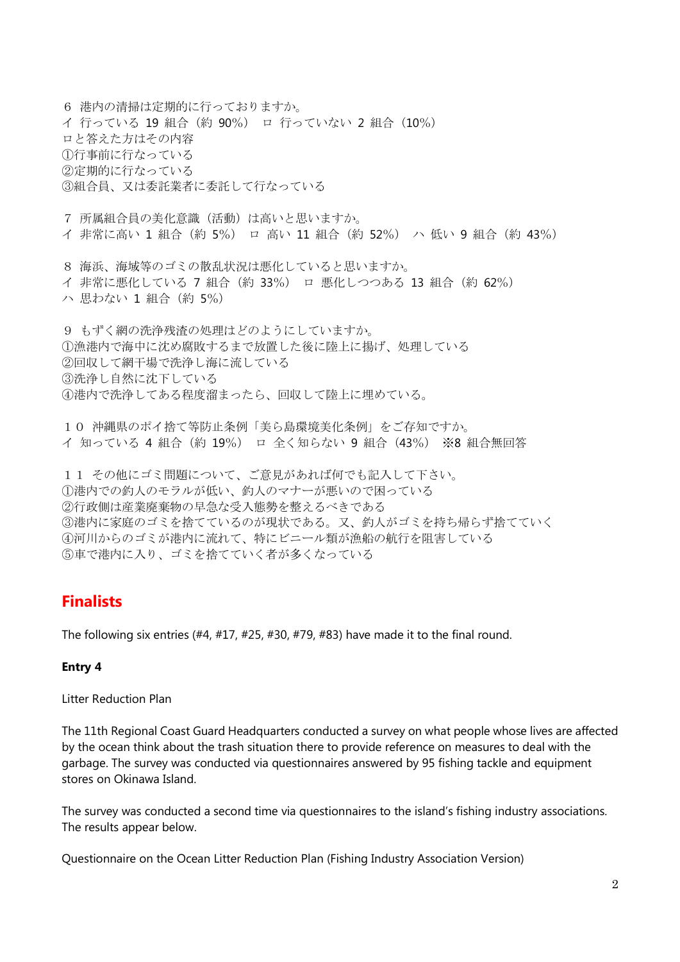6 港内の清掃は定期的に行っておりますか。 イ 行っている 19 組合(約 90%) ロ 行っていない 2 組合(10%) ロと答えた方はその内容 ①行事前に行なっている ②定期的に行なっている ③組合員、又は委託業者に委託して行なっている

7 所属組合員の美化意識(活動)は高いと思いますか。 イ 非常に高い 1 組合(約 5%) ロ 高い 11 組合(約 52%) ハ 低い 9 組合(約 43%)

8 海浜、海域等のゴミの散乱状況は悪化していると思いますか。 イ 非常に悪化している 7 組合(約 33%) ロ 悪化しつつある 13 組合(約 62%) ハ 思わない 1 組合(約 5%)

9 もずく網の洗浄残渣の処理はどのようにしていますか。 ①漁港内で海中に沈め腐敗するまで放置した後に陸上に揚げ、処理している ②回収して網干場で洗浄し海に流している ③洗浄し自然に沈下している ④港内で洗浄してある程度溜まったら、回収して陸上に埋めている。

10 沖縄県のポイ捨て等防止条例「美ら島環境美化条例」をご存知ですか。 イ 知っている 4 組合(約 19%) ロ 全く知らない 9 組合(43%) ※8 組合無回答

11 その他にゴミ問題について、ご意見があれば何でも記入して下さい。 ①港内での釣人のモラルが低い、釣人のマナーが悪いので困っている ②行政側は産業廃棄物の早急な受入態勢を整えるべきである ③港内に家庭のゴミを捨てているのが現状である。又、釣人がゴミを持ち帰らず捨てていく ④河川からのゴミが港内に流れて、特にビニール類が漁船の航行を阻害している ⑤車で港内に入り、ゴミを捨てていく者が多くなっている

## **Finalists**

The following six entries  $(#4, #17, #25, #30, #79, #83)$  have made it to the final round.

#### **Entry 4**

Litter Reduction Plan

The 11th Regional Coast Guard Headquarters conducted a survey on what people whose lives are affected by the ocean think about the trash situation there to provide reference on measures to deal with the garbage. The survey was conducted via questionnaires answered by 95 fishing tackle and equipment stores on Okinawa Island.

The survey was conducted a second time via questionnaires to the island's fishing industry associations. The results appear below.

Questionnaire on the Ocean Litter Reduction Plan (Fishing Industry Association Version)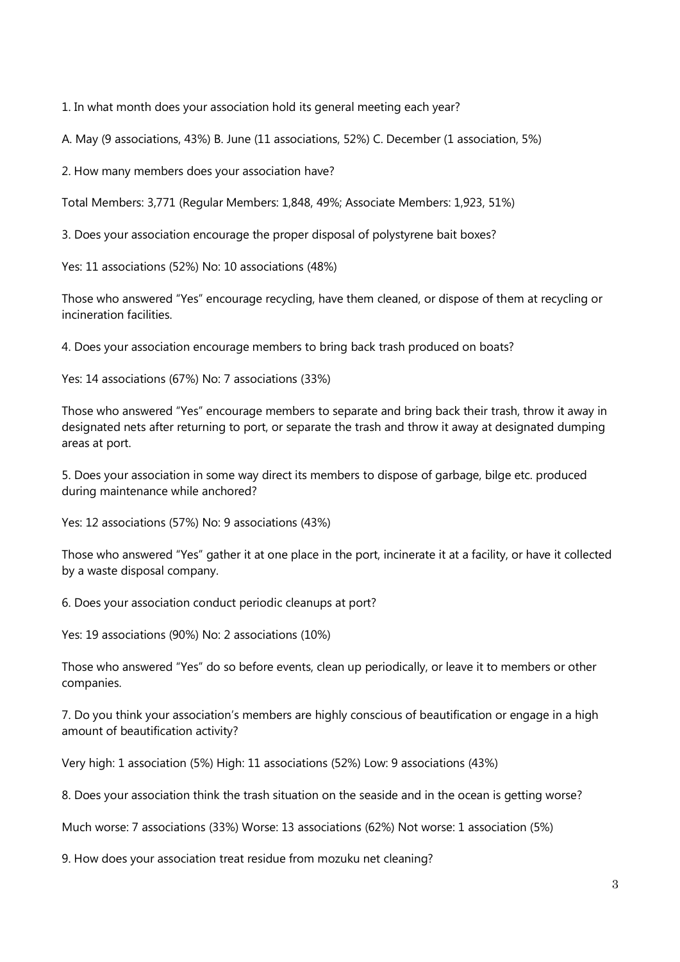1. In what month does your association hold its general meeting each year?

A. May (9 associations, 43%) B. June (11 associations, 52%) C. December (1 association, 5%)

2. How many members does your association have?

Total Members: 3,771 (Regular Members: 1,848, 49%; Associate Members: 1,923, 51%)

3. Does your association encourage the proper disposal of polystyrene bait boxes?

Yes: 11 associations (52%) No: 10 associations (48%)

Those who answered "Yes" encourage recycling, have them cleaned, or dispose of them at recycling or incineration facilities.

4. Does your association encourage members to bring back trash produced on boats?

Yes: 14 associations (67%) No: 7 associations (33%)

Those who answered "Yes" encourage members to separate and bring back their trash, throw it away in designated nets after returning to port, or separate the trash and throw it away at designated dumping areas at port.

5. Does your association in some way direct its members to dispose of garbage, bilge etc. produced during maintenance while anchored?

Yes: 12 associations (57%) No: 9 associations (43%)

Those who answered "Yes" gather it at one place in the port, incinerate it at a facility, or have it collected by a waste disposal company.

6. Does your association conduct periodic cleanups at port?

Yes: 19 associations (90%) No: 2 associations (10%)

Those who answered "Yes" do so before events, clean up periodically, or leave it to members or other companies.

7. Do you think your association's members are highly conscious of beautification or engage in a high amount of beautification activity?

Very high: 1 association (5%) High: 11 associations (52%) Low: 9 associations (43%)

8. Does your association think the trash situation on the seaside and in the ocean is getting worse?

Much worse: 7 associations (33%) Worse: 13 associations (62%) Not worse: 1 association (5%)

9. How does your association treat residue from mozuku net cleaning?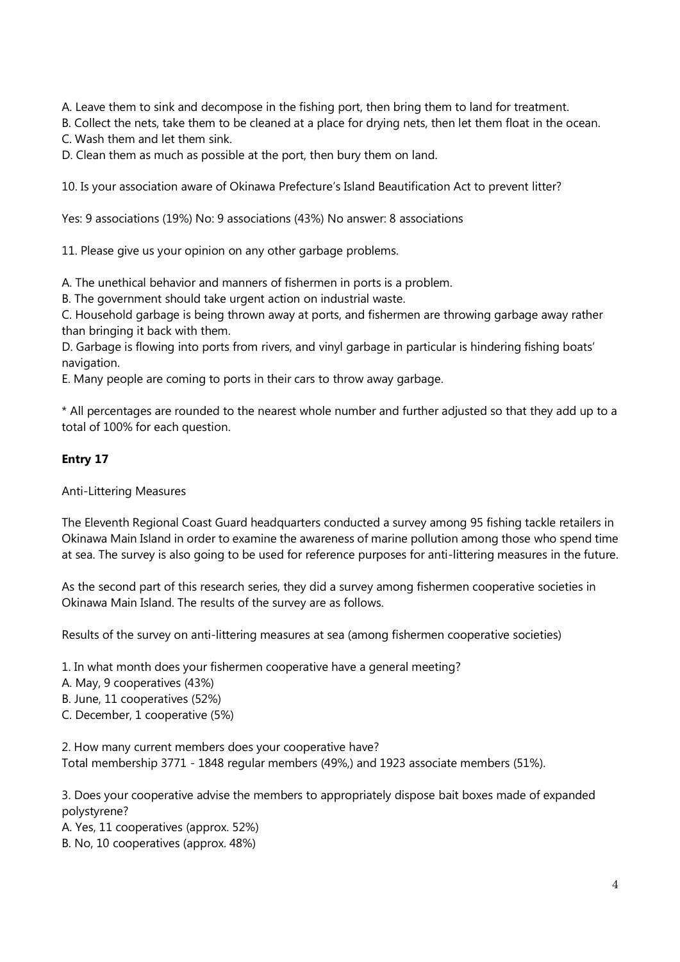A. Leave them to sink and decompose in the fishing port, then bring them to land for treatment.

B. Collect the nets, take them to be cleaned at a place for drying nets, then let them float in the ocean.

C. Wash them and let them sink.

D. Clean them as much as possible at the port, then bury them on land.

10. Is your association aware of Okinawa Prefecture's Island Beautification Act to prevent litter?

Yes: 9 associations (19%) No: 9 associations (43%) No answer: 8 associations

11. Please give us your opinion on any other garbage problems.

A. The unethical behavior and manners of fishermen in ports is a problem.

B. The government should take urgent action on industrial waste.

C. Household garbage is being thrown away at ports, and fishermen are throwing garbage away rather than bringing it back with them.

D. Garbage is flowing into ports from rivers, and vinyl garbage in particular is hindering fishing boats' navigation.

E. Many people are coming to ports in their cars to throw away garbage.

\* All percentages are rounded to the nearest whole number and further adjusted so that they add up to a total of 100% for each question.

#### **Entry 17**

Anti-Littering Measures

The Eleventh Regional Coast Guard headquarters conducted a survey among 95 fishing tackle retailers in Okinawa Main Island in order to examine the awareness of marine pollution among those who spend time at sea. The survey is also going to be used for reference purposes for anti-littering measures in the future.

As the second part of this research series, they did a survey among fishermen cooperative societies in Okinawa Main Island. The results of the survey are as follows.

Results of the survey on anti-littering measures at sea (among fishermen cooperative societies)

1. In what month does your fishermen cooperative have a general meeting?

- A. May, 9 cooperatives (43%)
- B. June, 11 cooperatives (52%)
- C. December, 1 cooperative (5%)

2. How many current members does your cooperative have? Total membership 3771 - 1848 regular members (49%,) and 1923 associate members (51%).

3. Does your cooperative advise the members to appropriately dispose bait boxes made of expanded polystyrene?

A. Yes, 11 cooperatives (approx. 52%)

B. No, 10 cooperatives (approx. 48%)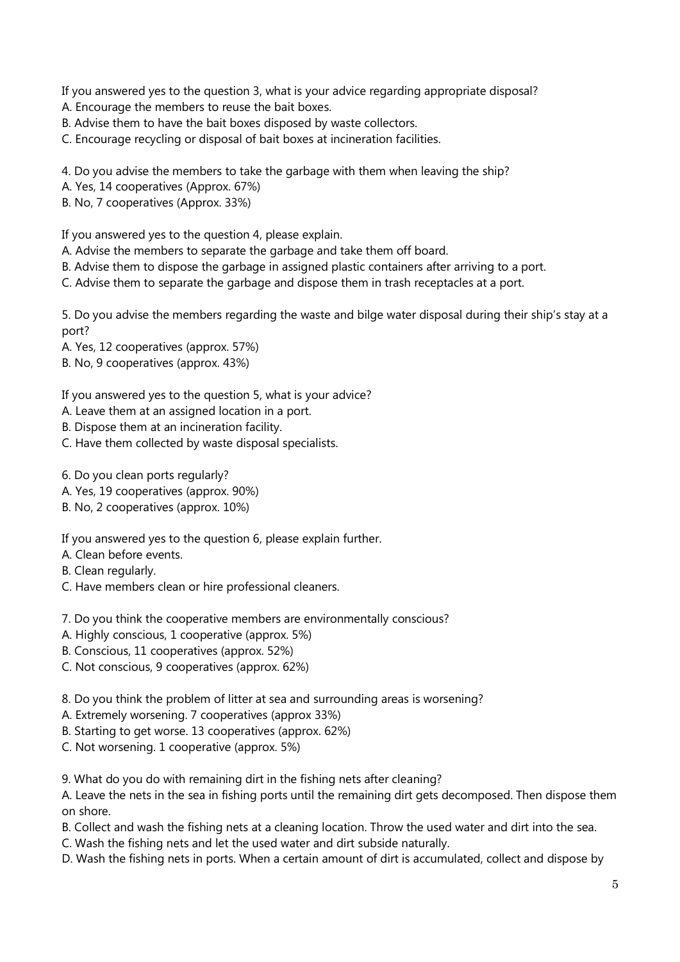If you answered yes to the question 3, what is your advice regarding appropriate disposal?

- A. Encourage the members to reuse the bait boxes.
- B. Advise them to have the bait boxes disposed by waste collectors.
- C. Encourage recycling or disposal of bait boxes at incineration facilities.

4. Do you advise the members to take the garbage with them when leaving the ship?

- A. Yes, 14 cooperatives (Approx. 67%)
- B. No, 7 cooperatives (Approx. 33%)

If you answered yes to the question 4, please explain.

- A. Advise the members to separate the garbage and take them off board.
- B. Advise them to dispose the garbage in assigned plastic containers after arriving to a port.
- C. Advise them to separate the garbage and dispose them in trash receptacles at a port.

5. Do you advise the members regarding the waste and bilge water disposal during their ship's stay at a port?

- A. Yes, 12 cooperatives (approx. 57%)
- B. No, 9 cooperatives (approx. 43%)

If you answered yes to the question 5, what is your advice?

- A. Leave them at an assigned location in a port.
- B. Dispose them at an incineration facility.
- C. Have them collected by waste disposal specialists.
- 6. Do you clean ports regularly?
- A. Yes, 19 cooperatives (approx. 90%)
- B. No, 2 cooperatives (approx. 10%)

If you answered yes to the question 6, please explain further.

- A. Clean before events.
- B. Clean regularly.
- C. Have members clean or hire professional cleaners.
- 7. Do you think the cooperative members are environmentally conscious?
- A. Highly conscious, 1 cooperative (approx. 5%)
- B. Conscious, 11 cooperatives (approx. 52%)
- C. Not conscious, 9 cooperatives (approx. 62%)
- 8. Do you think the problem of litter at sea and surrounding areas is worsening?
- A. Extremely worsening. 7 cooperatives (approx 33%)
- B. Starting to get worse. 13 cooperatives (approx. 62%)
- C. Not worsening. 1 cooperative (approx. 5%)

9. What do you do with remaining dirt in the fishing nets after cleaning?

A. Leave the nets in the sea in fishing ports until the remaining dirt gets decomposed. Then dispose them on shore.

- B. Collect and wash the fishing nets at a cleaning location. Throw the used water and dirt into the sea.
- C. Wash the fishing nets and let the used water and dirt subside naturally.
- D. Wash the fishing nets in ports. When a certain amount of dirt is accumulated, collect and dispose by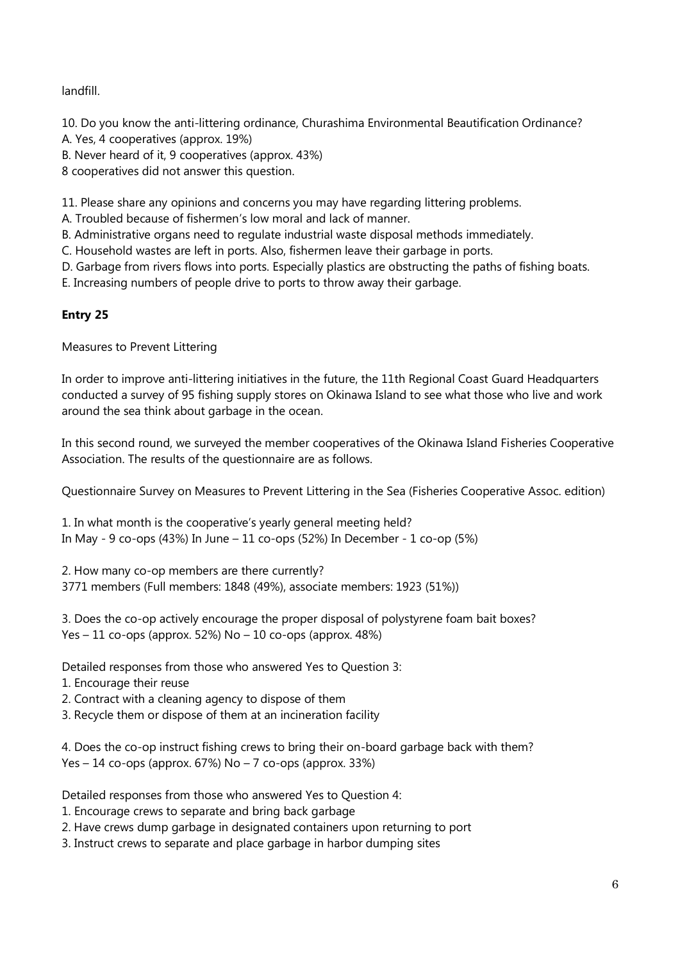landfill.

10. Do you know the anti-littering ordinance, Churashima Environmental Beautification Ordinance?

A. Yes, 4 cooperatives (approx. 19%)

B. Never heard of it, 9 cooperatives (approx. 43%)

8 cooperatives did not answer this question.

11. Please share any opinions and concerns you may have regarding littering problems.

A. Troubled because of fishermen's low moral and lack of manner.

B. Administrative organs need to regulate industrial waste disposal methods immediately.

C. Household wastes are left in ports. Also, fishermen leave their garbage in ports.

D. Garbage from rivers flows into ports. Especially plastics are obstructing the paths of fishing boats.

E. Increasing numbers of people drive to ports to throw away their garbage.

## **Entry 25**

Measures to Prevent Littering

In order to improve anti-littering initiatives in the future, the 11th Regional Coast Guard Headquarters conducted a survey of 95 fishing supply stores on Okinawa Island to see what those who live and work around the sea think about garbage in the ocean.

In this second round, we surveyed the member cooperatives of the Okinawa Island Fisheries Cooperative Association. The results of the questionnaire are as follows.

Questionnaire Survey on Measures to Prevent Littering in the Sea (Fisheries Cooperative Assoc. edition)

1. In what month is the cooperative's yearly general meeting held? In May - 9 co-ops (43%) In June – 11 co-ops (52%) In December - 1 co-op (5%)

2. How many co-op members are there currently?

3771 members (Full members: 1848 (49%), associate members: 1923 (51%))

3. Does the co-op actively encourage the proper disposal of polystyrene foam bait boxes? Yes – 11 co-ops (approx. 52%) No – 10 co-ops (approx. 48%)

Detailed responses from those who answered Yes to Question 3:

- 1. Encourage their reuse
- 2. Contract with a cleaning agency to dispose of them
- 3. Recycle them or dispose of them at an incineration facility

4. Does the co-op instruct fishing crews to bring their on-board garbage back with them? Yes  $-14$  co-ops (approx. 67%) No  $-7$  co-ops (approx. 33%)

Detailed responses from those who answered Yes to Question 4:

- 1. Encourage crews to separate and bring back garbage
- 2. Have crews dump garbage in designated containers upon returning to port
- 3. Instruct crews to separate and place garbage in harbor dumping sites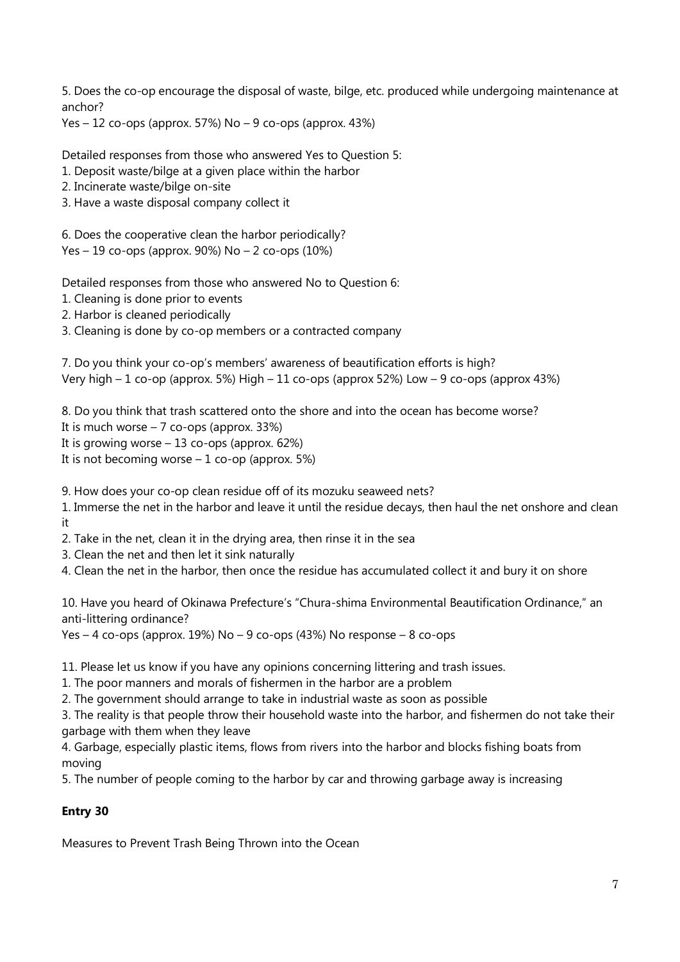5. Does the co-op encourage the disposal of waste, bilge, etc. produced while undergoing maintenance at anchor?

Yes  $-12$  co-ops (approx. 57%) No  $-9$  co-ops (approx. 43%)

Detailed responses from those who answered Yes to Question 5:

- 1. Deposit waste/bilge at a given place within the harbor
- 2. Incinerate waste/bilge on-site
- 3. Have a waste disposal company collect it

6. Does the cooperative clean the harbor periodically? Yes – 19 co-ops (approx. 90%) No – 2 co-ops (10%)

Detailed responses from those who answered No to Question 6:

1. Cleaning is done prior to events

2. Harbor is cleaned periodically

3. Cleaning is done by co-op members or a contracted company

7. Do you think your co-op's members' awareness of beautification efforts is high? Very high – 1 co-op (approx. 5%) High – 11 co-ops (approx 52%) Low – 9 co-ops (approx 43%)

8. Do you think that trash scattered onto the shore and into the ocean has become worse?

- It is much worse  $-7$  co-ops (approx. 33%)
- It is growing worse  $-13$  co-ops (approx. 62%)

It is not becoming worse  $-1$  co-op (approx. 5%)

9. How does your co-op clean residue off of its mozuku seaweed nets?

1. Immerse the net in the harbor and leave it until the residue decays, then haul the net onshore and clean it

2. Take in the net, clean it in the drying area, then rinse it in the sea

3. Clean the net and then let it sink naturally

4. Clean the net in the harbor, then once the residue has accumulated collect it and bury it on shore

10. Have you heard of Okinawa Prefecture's "Chura-shima Environmental Beautification Ordinance," an anti-littering ordinance?

Yes – 4 co-ops (approx.  $19\%$ ) No – 9 co-ops (43%) No response – 8 co-ops

11. Please let us know if you have any opinions concerning littering and trash issues.

1. The poor manners and morals of fishermen in the harbor are a problem

2. The government should arrange to take in industrial waste as soon as possible

3. The reality is that people throw their household waste into the harbor, and fishermen do not take their garbage with them when they leave

4. Garbage, especially plastic items, flows from rivers into the harbor and blocks fishing boats from moving

5. The number of people coming to the harbor by car and throwing garbage away is increasing

## **Entry 30**

Measures to Prevent Trash Being Thrown into the Ocean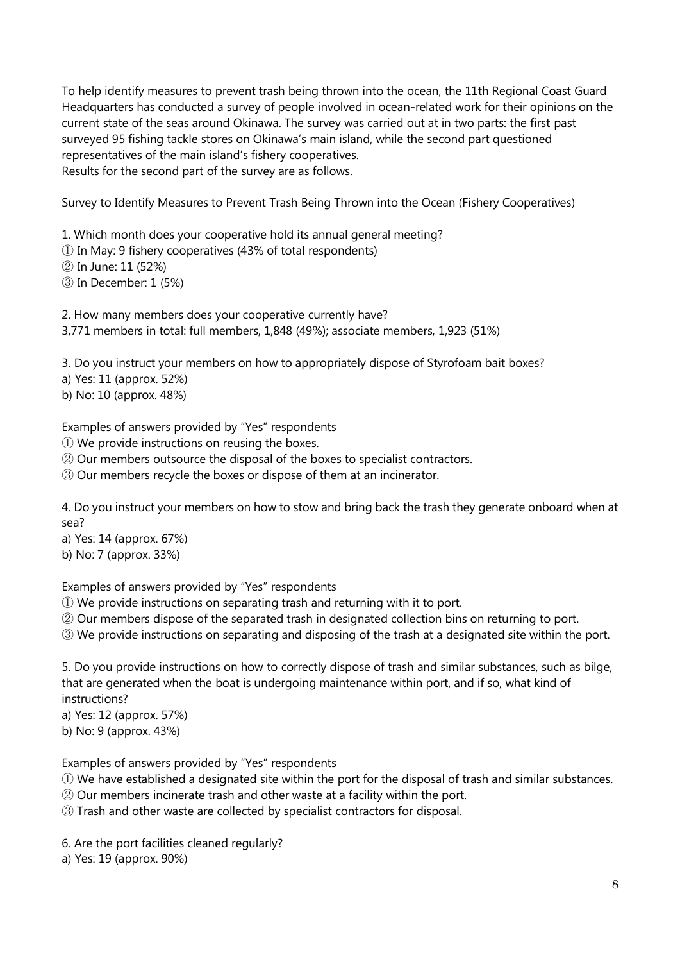To help identify measures to prevent trash being thrown into the ocean, the 11th Regional Coast Guard Headquarters has conducted a survey of people involved in ocean-related work for their opinions on the current state of the seas around Okinawa. The survey was carried out at in two parts: the first past surveyed 95 fishing tackle stores on Okinawa's main island, while the second part questioned representatives of the main island's fishery cooperatives. Results for the second part of the survey are as follows.

Survey to Identify Measures to Prevent Trash Being Thrown into the Ocean (Fishery Cooperatives)

1. Which month does your cooperative hold its annual general meeting?

① In May: 9 fishery cooperatives (43% of total respondents)

② In June: 11 (52%)

③ In December: 1 (5%)

2. How many members does your cooperative currently have? 3,771 members in total: full members, 1,848 (49%); associate members, 1,923 (51%)

3. Do you instruct your members on how to appropriately dispose of Styrofoam bait boxes?

- a) Yes: 11 (approx. 52%)
- b) No: 10 (approx. 48%)

Examples of answers provided by "Yes" respondents

① We provide instructions on reusing the boxes.

② Our members outsource the disposal of the boxes to specialist contractors.

③ Our members recycle the boxes or dispose of them at an incinerator.

4. Do you instruct your members on how to stow and bring back the trash they generate onboard when at sea?

a) Yes: 14 (approx. 67%)

b) No: 7 (approx. 33%)

Examples of answers provided by "Yes" respondents

① We provide instructions on separating trash and returning with it to port.

② Our members dispose of the separated trash in designated collection bins on returning to port.

③ We provide instructions on separating and disposing of the trash at a designated site within the port.

5. Do you provide instructions on how to correctly dispose of trash and similar substances, such as bilge, that are generated when the boat is undergoing maintenance within port, and if so, what kind of instructions?

a) Yes: 12 (approx. 57%) b) No: 9 (approx. 43%)

Examples of answers provided by "Yes" respondents

① We have established a designated site within the port for the disposal of trash and similar substances.

② Our members incinerate trash and other waste at a facility within the port.

③ Trash and other waste are collected by specialist contractors for disposal.

6. Are the port facilities cleaned regularly?

a) Yes: 19 (approx. 90%)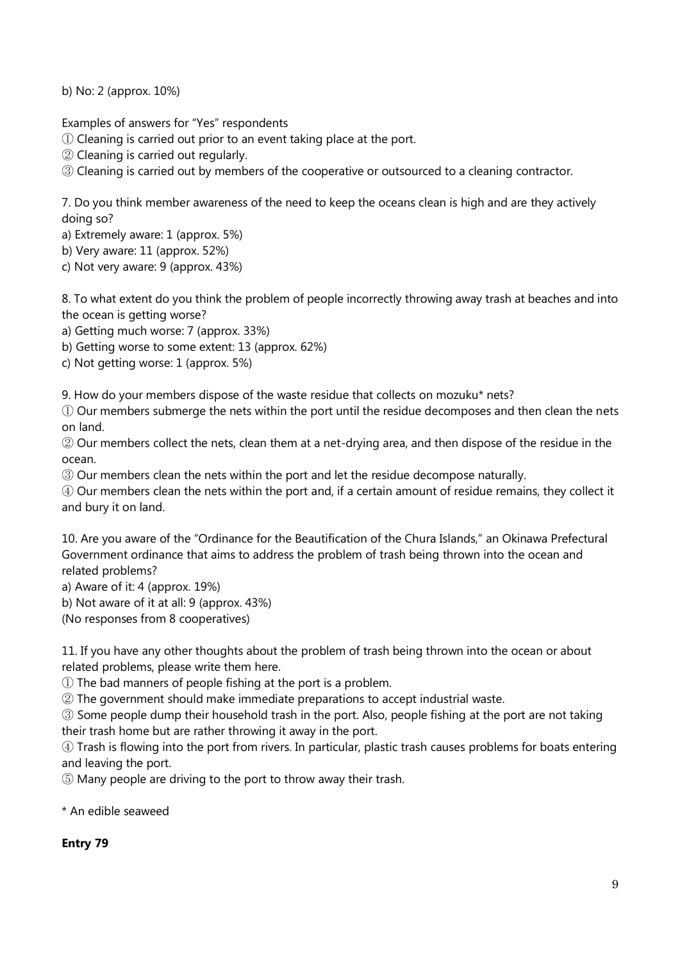b) No: 2 (approx. 10%)

Examples of answers for "Yes" respondents

① Cleaning is carried out prior to an event taking place at the port.

② Cleaning is carried out regularly.

③ Cleaning is carried out by members of the cooperative or outsourced to a cleaning contractor.

7. Do you think member awareness of the need to keep the oceans clean is high and are they actively doing so?

a) Extremely aware: 1 (approx. 5%)

b) Very aware: 11 (approx. 52%)

c) Not very aware: 9 (approx. 43%)

8. To what extent do you think the problem of people incorrectly throwing away trash at beaches and into the ocean is getting worse?

a) Getting much worse: 7 (approx. 33%)

b) Getting worse to some extent: 13 (approx. 62%)

c) Not getting worse: 1 (approx. 5%)

9. How do your members dispose of the waste residue that collects on mozuku\* nets?

① Our members submerge the nets within the port until the residue decomposes and then clean the nets on land.

② Our members collect the nets, clean them at a net-drying area, and then dispose of the residue in the ocean.

③ Our members clean the nets within the port and let the residue decompose naturally.

④ Our members clean the nets within the port and, if a certain amount of residue remains, they collect it and bury it on land.

10. Are you aware of the "Ordinance for the Beautification of the Chura Islands," an Okinawa Prefectural Government ordinance that aims to address the problem of trash being thrown into the ocean and related problems?

a) Aware of it: 4 (approx. 19%)

b) Not aware of it at all: 9 (approx. 43%)

(No responses from 8 cooperatives)

11. If you have any other thoughts about the problem of trash being thrown into the ocean or about related problems, please write them here.

① The bad manners of people fishing at the port is a problem.

② The government should make immediate preparations to accept industrial waste.

③ Some people dump their household trash in the port. Also, people fishing at the port are not taking their trash home but are rather throwing it away in the port.

④ Trash is flowing into the port from rivers. In particular, plastic trash causes problems for boats entering and leaving the port.

⑤ Many people are driving to the port to throw away their trash.

\* An edible seaweed

**Entry 79**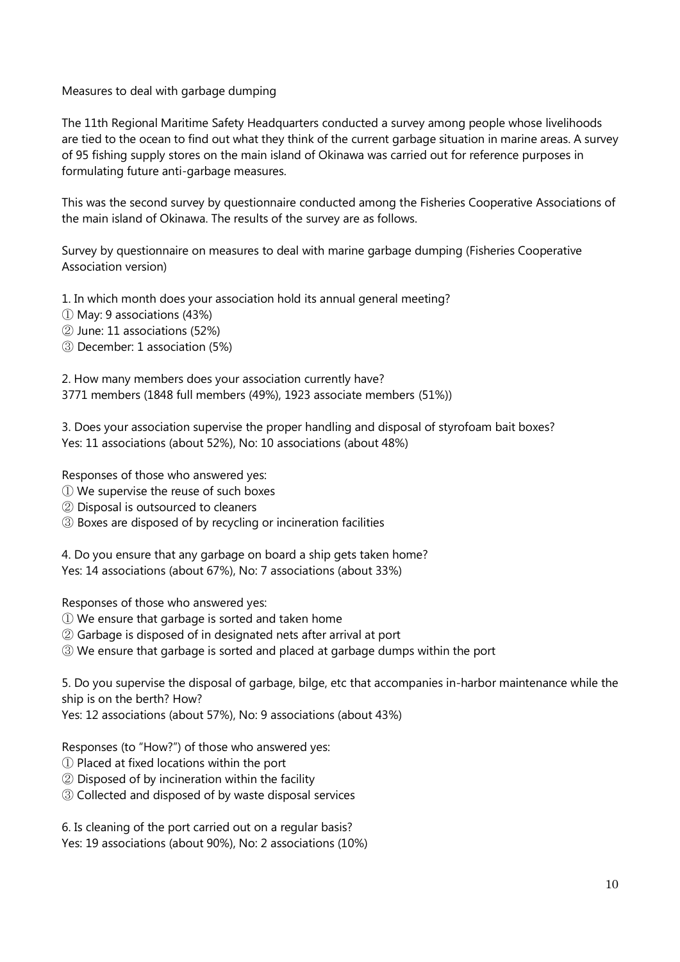Measures to deal with garbage dumping

The 11th Regional Maritime Safety Headquarters conducted a survey among people whose livelihoods are tied to the ocean to find out what they think of the current garbage situation in marine areas. A survey of 95 fishing supply stores on the main island of Okinawa was carried out for reference purposes in formulating future anti-garbage measures.

This was the second survey by questionnaire conducted among the Fisheries Cooperative Associations of the main island of Okinawa. The results of the survey are as follows.

Survey by questionnaire on measures to deal with marine garbage dumping (Fisheries Cooperative Association version)

1. In which month does your association hold its annual general meeting?

- ① May: 9 associations (43%)
- ② June: 11 associations (52%)
- ③ December: 1 association (5%)

2. How many members does your association currently have? 3771 members (1848 full members (49%), 1923 associate members (51%))

3. Does your association supervise the proper handling and disposal of styrofoam bait boxes? Yes: 11 associations (about 52%), No: 10 associations (about 48%)

Responses of those who answered yes:

- ① We supervise the reuse of such boxes
- ② Disposal is outsourced to cleaners
- ③ Boxes are disposed of by recycling or incineration facilities

4. Do you ensure that any garbage on board a ship gets taken home? Yes: 14 associations (about 67%), No: 7 associations (about 33%)

Responses of those who answered yes:

- ① We ensure that garbage is sorted and taken home
- ② Garbage is disposed of in designated nets after arrival at port
- ③ We ensure that garbage is sorted and placed at garbage dumps within the port

5. Do you supervise the disposal of garbage, bilge, etc that accompanies in-harbor maintenance while the ship is on the berth? How?

Yes: 12 associations (about 57%), No: 9 associations (about 43%)

Responses (to "How?") of those who answered yes:

- ① Placed at fixed locations within the port
- ② Disposed of by incineration within the facility
- ③ Collected and disposed of by waste disposal services

6. Is cleaning of the port carried out on a regular basis?

Yes: 19 associations (about 90%), No: 2 associations (10%)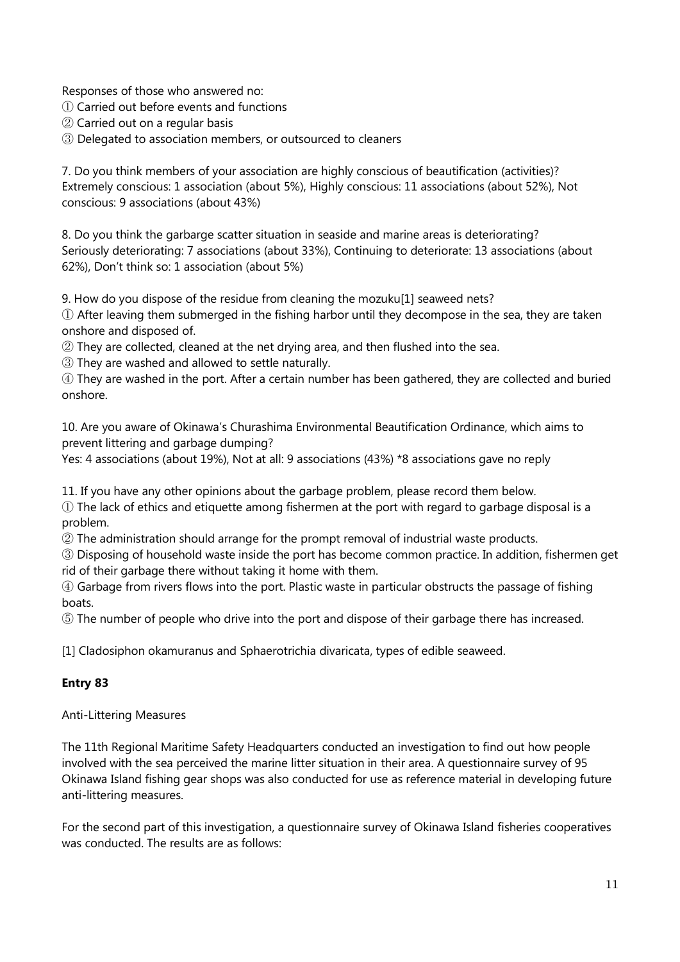Responses of those who answered no:

- ① Carried out before events and functions
- ② Carried out on a regular basis
- ③ Delegated to association members, or outsourced to cleaners

7. Do you think members of your association are highly conscious of beautification (activities)? Extremely conscious: 1 association (about 5%), Highly conscious: 11 associations (about 52%), Not conscious: 9 associations (about 43%)

8. Do you think the garbarge scatter situation in seaside and marine areas is deteriorating? Seriously deteriorating: 7 associations (about 33%), Continuing to deteriorate: 13 associations (about 62%), Don't think so: 1 association (about 5%)

9. How do you dispose of the residue from cleaning the mozuku[1] seaweed nets?

① After leaving them submerged in the fishing harbor until they decompose in the sea, they are taken onshore and disposed of.

② They are collected, cleaned at the net drying area, and then flushed into the sea.

③ They are washed and allowed to settle naturally.

④ They are washed in the port. After a certain number has been gathered, they are collected and buried onshore.

10. Are you aware of Okinawa's Churashima Environmental Beautification Ordinance, which aims to prevent littering and garbage dumping?

Yes: 4 associations (about 19%), Not at all: 9 associations (43%) \*8 associations gave no reply

11. If you have any other opinions about the garbage problem, please record them below.

① The lack of ethics and etiquette among fishermen at the port with regard to garbage disposal is a problem.

② The administration should arrange for the prompt removal of industrial waste products.

③ Disposing of household waste inside the port has become common practice. In addition, fishermen get rid of their garbage there without taking it home with them.

④ Garbage from rivers flows into the port. Plastic waste in particular obstructs the passage of fishing boats.

⑤ The number of people who drive into the port and dispose of their garbage there has increased.

[1] Cladosiphon okamuranus and Sphaerotrichia divaricata, types of edible seaweed.

## **Entry 83**

Anti-Littering Measures

The 11th Regional Maritime Safety Headquarters conducted an investigation to find out how people involved with the sea perceived the marine litter situation in their area. A questionnaire survey of 95 Okinawa Island fishing gear shops was also conducted for use as reference material in developing future anti-littering measures.

For the second part of this investigation, a questionnaire survey of Okinawa Island fisheries cooperatives was conducted. The results are as follows: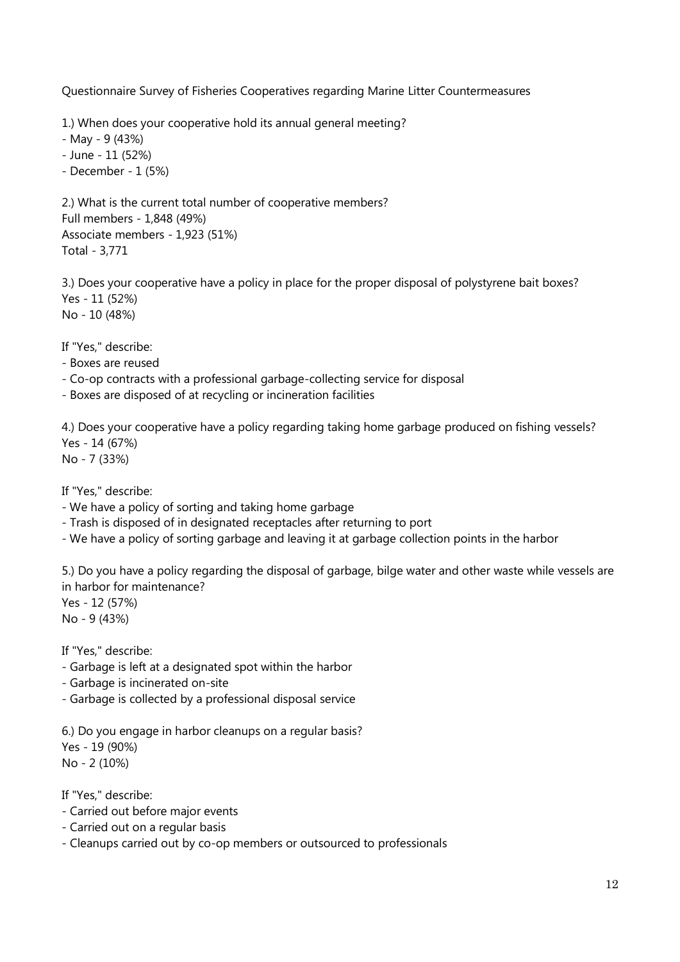Questionnaire Survey of Fisheries Cooperatives regarding Marine Litter Countermeasures

1.) When does your cooperative hold its annual general meeting?

- May - 9 (43%)

- June - 11 (52%)

- December - 1 (5%)

2.) What is the current total number of cooperative members? Full members - 1,848 (49%) Associate members - 1,923 (51%) Total - 3,771

3.) Does your cooperative have a policy in place for the proper disposal of polystyrene bait boxes? Yes - 11 (52%) No - 10 (48%)

If "Yes," describe:

- Boxes are reused

- Co-op contracts with a professional garbage-collecting service for disposal

- Boxes are disposed of at recycling or incineration facilities

4.) Does your cooperative have a policy regarding taking home garbage produced on fishing vessels? Yes - 14 (67%)

No - 7 (33%)

If "Yes," describe:

- We have a policy of sorting and taking home garbage

- Trash is disposed of in designated receptacles after returning to port

- We have a policy of sorting garbage and leaving it at garbage collection points in the harbor

5.) Do you have a policy regarding the disposal of garbage, bilge water and other waste while vessels are in harbor for maintenance?

Yes - 12 (57%) No - 9 (43%)

If "Yes," describe:

- Garbage is left at a designated spot within the harbor

- Garbage is incinerated on-site

- Garbage is collected by a professional disposal service

6.) Do you engage in harbor cleanups on a regular basis? Yes - 19 (90%) No - 2 (10%)

If "Yes," describe:

- Carried out before major events
- Carried out on a regular basis
- Cleanups carried out by co-op members or outsourced to professionals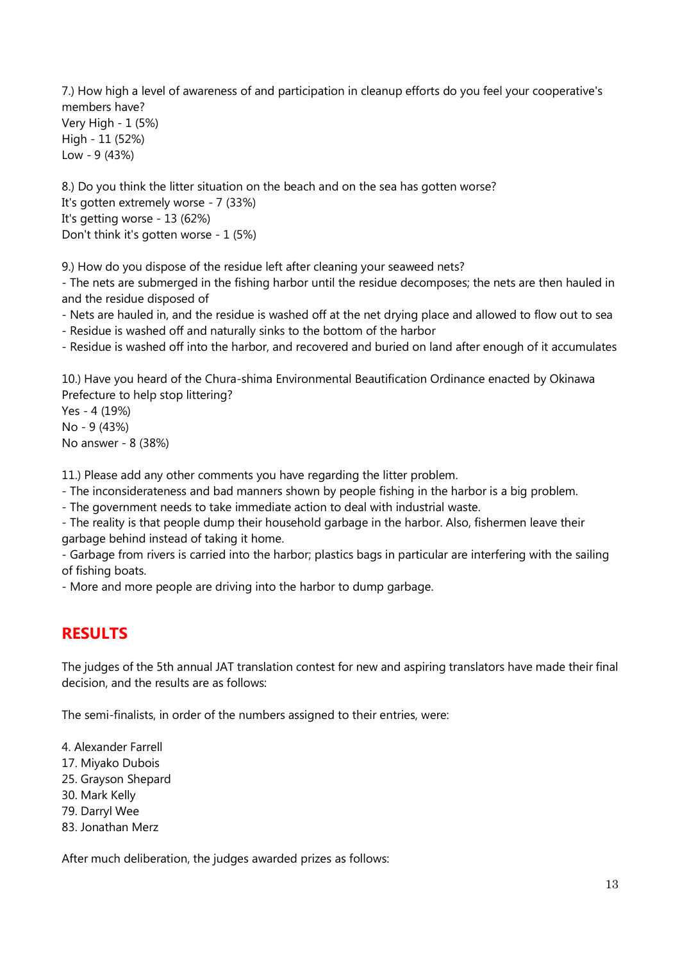7.) How high a level of awareness of and participation in cleanup efforts do you feel your cooperative's members have? Very High - 1 (5%) High - 11 (52%) Low - 9 (43%)

8.) Do you think the litter situation on the beach and on the sea has gotten worse? It's gotten extremely worse - 7 (33%) It's getting worse - 13 (62%) Don't think it's gotten worse - 1 (5%)

9.) How do you dispose of the residue left after cleaning your seaweed nets?

- The nets are submerged in the fishing harbor until the residue decomposes; the nets are then hauled in and the residue disposed of

- Nets are hauled in, and the residue is washed off at the net drying place and allowed to flow out to sea

- Residue is washed off and naturally sinks to the bottom of the harbor

- Residue is washed off into the harbor, and recovered and buried on land after enough of it accumulates

10.) Have you heard of the Chura-shima Environmental Beautification Ordinance enacted by Okinawa Prefecture to help stop littering?

Yes - 4 (19%) No - 9 (43%) No answer - 8 (38%)

11.) Please add any other comments you have regarding the litter problem.

- The inconsiderateness and bad manners shown by people fishing in the harbor is a big problem.

- The government needs to take immediate action to deal with industrial waste.

- The reality is that people dump their household garbage in the harbor. Also, fishermen leave their garbage behind instead of taking it home.

- Garbage from rivers is carried into the harbor; plastics bags in particular are interfering with the sailing of fishing boats.

- More and more people are driving into the harbor to dump garbage.

# **RESULTS**

The judges of the 5th annual JAT translation contest for new and aspiring translators have made their final decision, and the results are as follows:

The semi-finalists, in order of the numbers assigned to their entries, were:

4. Alexander Farrell

17. Miyako Dubois

25. Grayson Shepard

30. Mark Kelly

79. Darryl Wee

83. Jonathan Merz

After much deliberation, the judges awarded prizes as follows: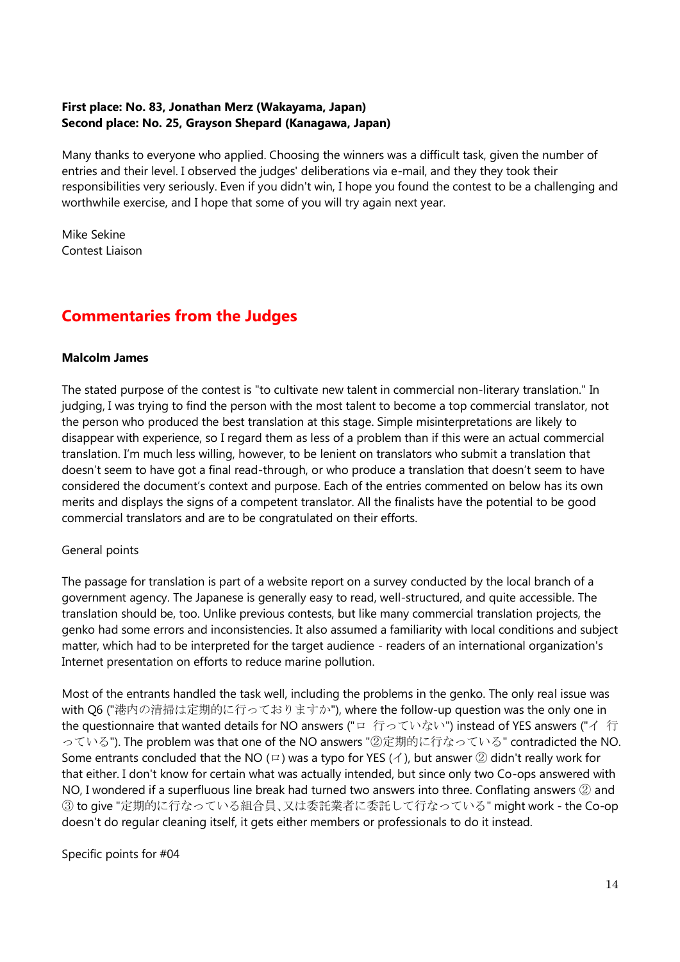#### **First place: No. 83, Jonathan Merz (Wakayama, Japan) Second place: No. 25, Grayson Shepard (Kanagawa, Japan)**

Many thanks to everyone who applied. Choosing the winners was a difficult task, given the number of entries and their level. I observed the judges' deliberations via e-mail, and they they took their responsibilities very seriously. Even if you didn't win, I hope you found the contest to be a challenging and worthwhile exercise, and I hope that some of you will try again next year.

Mike Sekine Contest Liaison

# **Commentaries from the Judges**

### **Malcolm James**

The stated purpose of the contest is "to cultivate new talent in commercial non-literary translation." In judging, I was trying to find the person with the most talent to become a top commercial translator, not the person who produced the best translation at this stage. Simple misinterpretations are likely to disappear with experience, so I regard them as less of a problem than if this were an actual commercial translation. I'm much less willing, however, to be lenient on translators who submit a translation that doesn't seem to have got a final read-through, or who produce a translation that doesn't seem to have considered the document's context and purpose. Each of the entries commented on below has its own merits and displays the signs of a competent translator. All the finalists have the potential to be good commercial translators and are to be congratulated on their efforts.

## General points

The passage for translation is part of a website report on a survey conducted by the local branch of a government agency. The Japanese is generally easy to read, well-structured, and quite accessible. The translation should be, too. Unlike previous contests, but like many commercial translation projects, the genko had some errors and inconsistencies. It also assumed a familiarity with local conditions and subject matter, which had to be interpreted for the target audience - readers of an international organization's Internet presentation on efforts to reduce marine pollution.

Most of the entrants handled the task well, including the problems in the genko. The only real issue was with Q6 ("港内の清掃は定期的に行っておりますか"), where the follow-up question was the only one in the questionnaire that wanted details for NO answers ("ロ 行っていない") instead of YES answers ("イ 行 っている"). The problem was that one of the NO answers "②定期的に行なっている" contradicted the NO. Some entrants concluded that the NO (ロ) was a typo for YES (イ), but answer ② didn't really work for that either. I don't know for certain what was actually intended, but since only two Co-ops answered with NO, I wondered if a superfluous line break had turned two answers into three. Conflating answers ② and ③ to give "定期的に行なっている組合員、又は委託業者に委託して行なっている" might work - the Co-op doesn't do regular cleaning itself, it gets either members or professionals to do it instead.

## Specific points for #04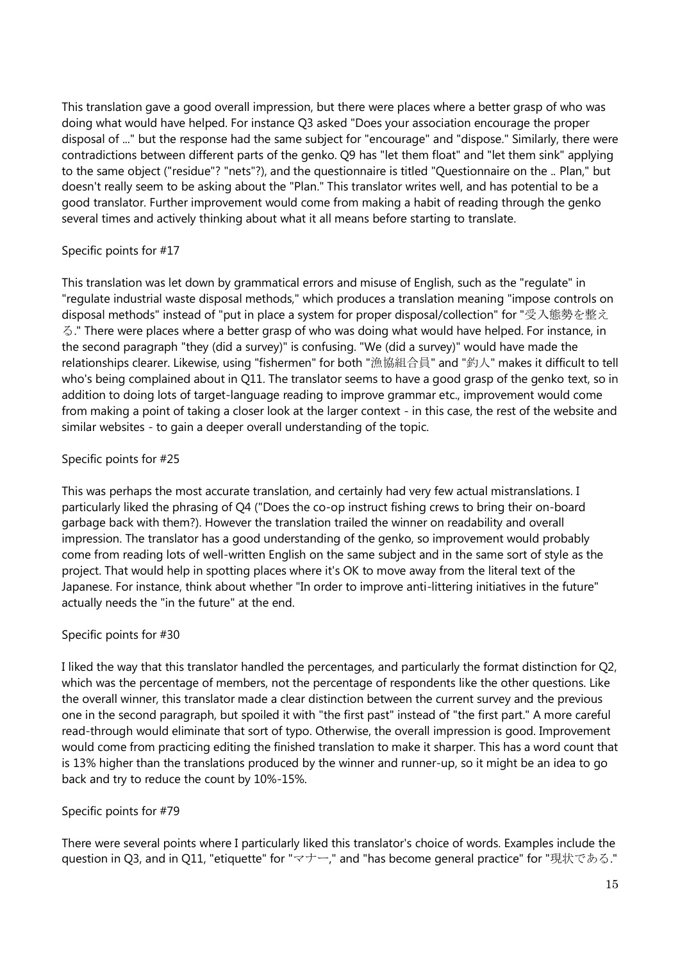This translation gave a good overall impression, but there were places where a better grasp of who was doing what would have helped. For instance Q3 asked "Does your association encourage the proper disposal of ..." but the response had the same subject for "encourage" and "dispose." Similarly, there were contradictions between different parts of the genko. Q9 has "let them float" and "let them sink" applying to the same object ("residue"? "nets"?), and the questionnaire is titled "Questionnaire on the .. Plan," but doesn't really seem to be asking about the "Plan." This translator writes well, and has potential to be a good translator. Further improvement would come from making a habit of reading through the genko several times and actively thinking about what it all means before starting to translate.

### Specific points for #17

This translation was let down by grammatical errors and misuse of English, such as the "regulate" in "regulate industrial waste disposal methods," which produces a translation meaning "impose controls on disposal methods" instead of "put in place a system for proper disposal/collection" for "受入態勢を整え る." There were places where a better grasp of who was doing what would have helped. For instance, in the second paragraph "they (did a survey)" is confusing. "We (did a survey)" would have made the relationships clearer. Likewise, using "fishermen" for both "漁協組合員" and "釣人" makes it difficult to tell who's being complained about in Q11. The translator seems to have a good grasp of the genko text, so in addition to doing lots of target-language reading to improve grammar etc., improvement would come from making a point of taking a closer look at the larger context - in this case, the rest of the website and similar websites - to gain a deeper overall understanding of the topic.

### Specific points for #25

This was perhaps the most accurate translation, and certainly had very few actual mistranslations. I particularly liked the phrasing of Q4 ("Does the co-op instruct fishing crews to bring their on-board garbage back with them?). However the translation trailed the winner on readability and overall impression. The translator has a good understanding of the genko, so improvement would probably come from reading lots of well-written English on the same subject and in the same sort of style as the project. That would help in spotting places where it's OK to move away from the literal text of the Japanese. For instance, think about whether "In order to improve anti-littering initiatives in the future" actually needs the "in the future" at the end.

#### Specific points for #30

I liked the way that this translator handled the percentages, and particularly the format distinction for Q2, which was the percentage of members, not the percentage of respondents like the other questions. Like the overall winner, this translator made a clear distinction between the current survey and the previous one in the second paragraph, but spoiled it with "the first past" instead of "the first part." A more careful read-through would eliminate that sort of typo. Otherwise, the overall impression is good. Improvement would come from practicing editing the finished translation to make it sharper. This has a word count that is 13% higher than the translations produced by the winner and runner-up, so it might be an idea to go back and try to reduce the count by 10%-15%.

## Specific points for #79

There were several points where I particularly liked this translator's choice of words. Examples include the question in Q3, and in Q11, "etiquette" for "マナー," and "has become general practice" for "現状である."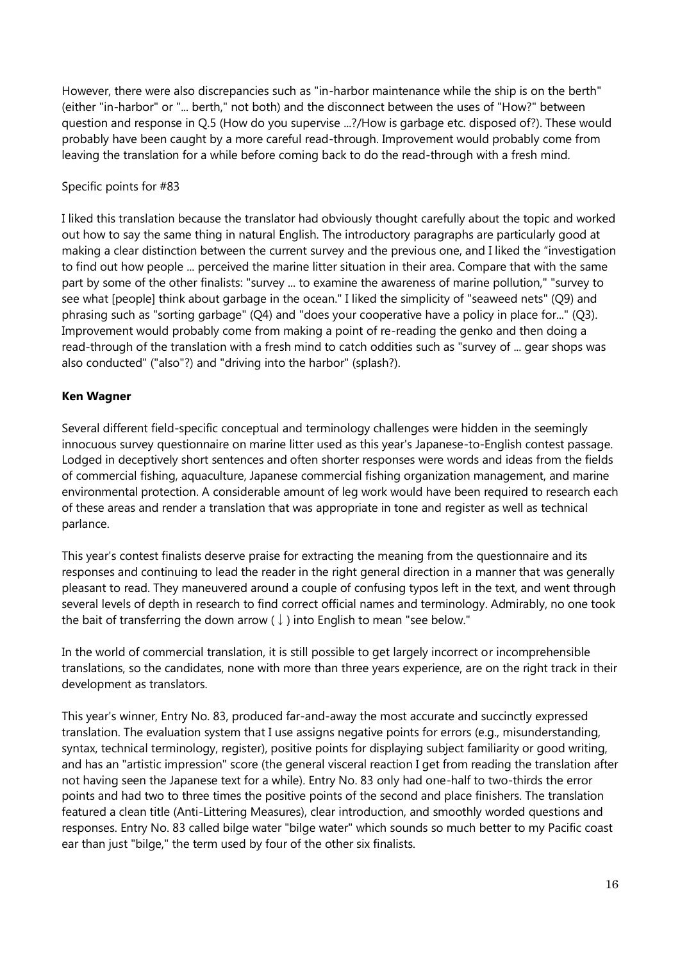However, there were also discrepancies such as "in-harbor maintenance while the ship is on the berth" (either "in-harbor" or "... berth," not both) and the disconnect between the uses of "How?" between question and response in Q.5 (How do you supervise ...?/How is garbage etc. disposed of?). These would probably have been caught by a more careful read-through. Improvement would probably come from leaving the translation for a while before coming back to do the read-through with a fresh mind.

#### Specific points for #83

I liked this translation because the translator had obviously thought carefully about the topic and worked out how to say the same thing in natural English. The introductory paragraphs are particularly good at making a clear distinction between the current survey and the previous one, and I liked the "investigation to find out how people ... perceived the marine litter situation in their area. Compare that with the same part by some of the other finalists: "survey ... to examine the awareness of marine pollution," "survey to see what [people] think about garbage in the ocean." I liked the simplicity of "seaweed nets" (Q9) and phrasing such as "sorting garbage" (Q4) and "does your cooperative have a policy in place for..." (Q3). Improvement would probably come from making a point of re-reading the genko and then doing a read-through of the translation with a fresh mind to catch oddities such as "survey of ... gear shops was also conducted" ("also"?) and "driving into the harbor" (splash?).

### **Ken Wagner**

Several different field-specific conceptual and terminology challenges were hidden in the seemingly innocuous survey questionnaire on marine litter used as this year's Japanese-to-English contest passage. Lodged in deceptively short sentences and often shorter responses were words and ideas from the fields of commercial fishing, aquaculture, Japanese commercial fishing organization management, and marine environmental protection. A considerable amount of leg work would have been required to research each of these areas and render a translation that was appropriate in tone and register as well as technical parlance.

This year's contest finalists deserve praise for extracting the meaning from the questionnaire and its responses and continuing to lead the reader in the right general direction in a manner that was generally pleasant to read. They maneuvered around a couple of confusing typos left in the text, and went through several levels of depth in research to find correct official names and terminology. Admirably, no one took the bait of transferring the down arrow ( $\downarrow$ ) into English to mean "see below."

In the world of commercial translation, it is still possible to get largely incorrect or incomprehensible translations, so the candidates, none with more than three years experience, are on the right track in their development as translators.

This year's winner, Entry No. 83, produced far-and-away the most accurate and succinctly expressed translation. The evaluation system that I use assigns negative points for errors (e.g., misunderstanding, syntax, technical terminology, register), positive points for displaying subject familiarity or good writing, and has an "artistic impression" score (the general visceral reaction I get from reading the translation after not having seen the Japanese text for a while). Entry No. 83 only had one-half to two-thirds the error points and had two to three times the positive points of the second and place finishers. The translation featured a clean title (Anti-Littering Measures), clear introduction, and smoothly worded questions and responses. Entry No. 83 called bilge water "bilge water" which sounds so much better to my Pacific coast ear than just "bilge," the term used by four of the other six finalists.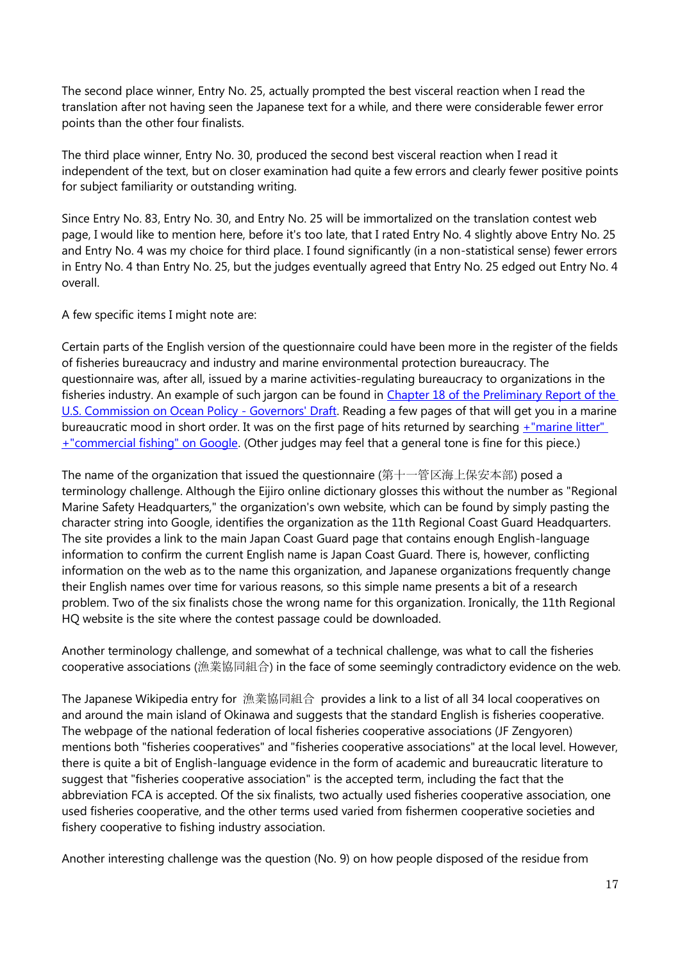The second place winner, Entry No. 25, actually prompted the best visceral reaction when I read the translation after not having seen the Japanese text for a while, and there were considerable fewer error points than the other four finalists.

The third place winner, Entry No. 30, produced the second best visceral reaction when I read it independent of the text, but on closer examination had quite a few errors and clearly fewer positive points for subject familiarity or outstanding writing.

Since Entry No. 83, Entry No. 30, and Entry No. 25 will be immortalized on the translation contest web page, I would like to mention here, before it's too late, that I rated Entry No. 4 slightly above Entry No. 25 and Entry No. 4 was my choice for third place. I found significantly (in a non-statistical sense) fewer errors in Entry No. 4 than Entry No. 25, but the judges eventually agreed that Entry No. 25 edged out Entry No. 4 overall.

A few specific items I might note are:

Certain parts of the English version of the questionnaire could have been more in the register of the fields of fisheries bureaucracy and industry and marine environmental protection bureaucracy. The questionnaire was, after all, issued by a marine activities-regulating bureaucracy to organizations in the fisheries industry. An example of such jargon can be found in [Chapter 18 of the Preliminary Report of the](http://www.oceancommission.gov/documents/prelimreport/chapter18.pdf)  [U.S. Commission on Ocean Policy -](http://www.oceancommission.gov/documents/prelimreport/chapter18.pdf) Governors' Draft. Reading a few pages of that will get you in a marine bureaucratic mood in short order. It was on the first page of hits returned by searching [+"marine litter"](http://www.google.co.jp/search?q=%2B%22marine+litter%22+%2B%22commercial+fishing%22&sourceid=navclient-ff&ie=UTF-8&rlz=1B3GGGL_jaJP176JP215)  [+"commercial fishing" on Google.](http://www.google.co.jp/search?q=%2B%22marine+litter%22+%2B%22commercial+fishing%22&sourceid=navclient-ff&ie=UTF-8&rlz=1B3GGGL_jaJP176JP215) (Other judges may feel that a general tone is fine for this piece.)

The name of the organization that issued the questionnaire (第十一管区海上保安本部) posed a terminology challenge. Although the Eijiro online dictionary glosses this without the number as "Regional Marine Safety Headquarters," the organization's own website, which can be found by simply pasting the character string into Google, identifies the organization as the 11th Regional Coast Guard Headquarters. The site provides a link to the main Japan Coast Guard page that contains enough English-language information to confirm the current English name is Japan Coast Guard. There is, however, conflicting information on the web as to the name this organization, and Japanese organizations frequently change their English names over time for various reasons, so this simple name presents a bit of a research problem. Two of the six finalists chose the wrong name for this organization. Ironically, the 11th Regional HQ website is the site where the contest passage could be downloaded.

Another terminology challenge, and somewhat of a technical challenge, was what to call the fisheries cooperative associations (漁業協同組合) in the face of some seemingly contradictory evidence on the web.

The Japanese Wikipedia entry for 漁業協同組合 provides a link to a list of all 34 local cooperatives on and around the main island of Okinawa and suggests that the standard English is fisheries cooperative. The webpage of the national federation of local fisheries cooperative associations (JF Zengyoren) mentions both "fisheries cooperatives" and "fisheries cooperative associations" at the local level. However, there is quite a bit of English-language evidence in the form of academic and bureaucratic literature to suggest that "fisheries cooperative association" is the accepted term, including the fact that the abbreviation FCA is accepted. Of the six finalists, two actually used fisheries cooperative association, one used fisheries cooperative, and the other terms used varied from fishermen cooperative societies and fishery cooperative to fishing industry association.

Another interesting challenge was the question (No. 9) on how people disposed of the residue from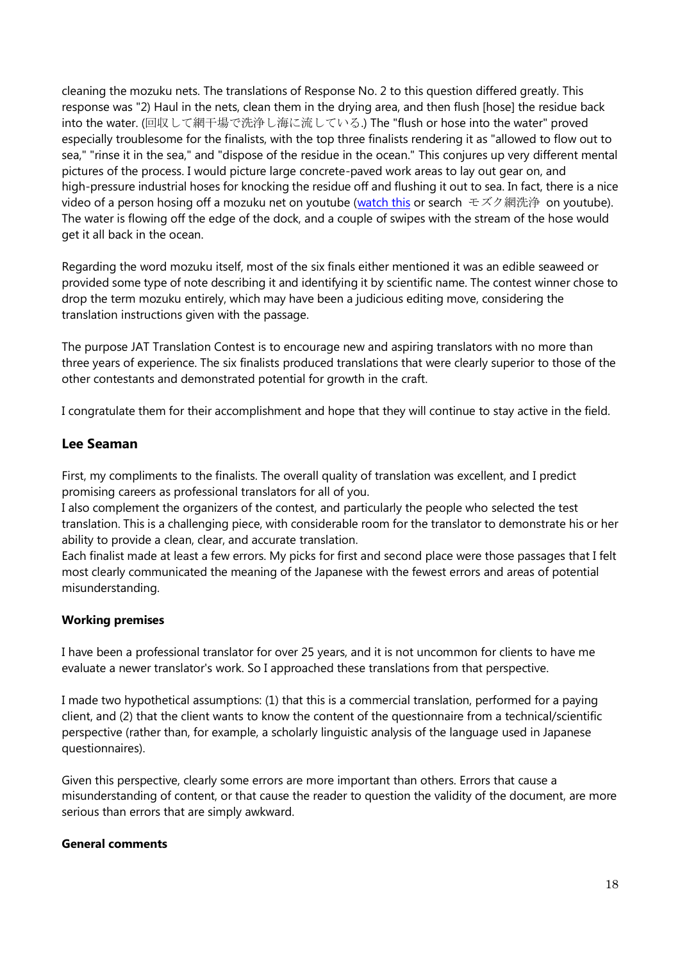cleaning the mozuku nets. The translations of Response No. 2 to this question differed greatly. This response was "2) Haul in the nets, clean them in the drying area, and then flush [hose] the residue back into the water. (回収して網干場で洗浄し海に流している.) The "flush or hose into the water" proved especially troublesome for the finalists, with the top three finalists rendering it as "allowed to flow out to sea," "rinse it in the sea," and "dispose of the residue in the ocean." This conjures up very different mental pictures of the process. I would picture large concrete-paved work areas to lay out gear on, and high-pressure industrial hoses for knocking the residue off and flushing it out to sea. In fact, there is a nice video of a person hosing off a mozuku net on youtube [\(watch this](http://www.youtube.com/watch?v=-jBypyjZvyI) or search モズク網洗浄 on youtube). The water is flowing off the edge of the dock, and a couple of swipes with the stream of the hose would get it all back in the ocean.

Regarding the word mozuku itself, most of the six finals either mentioned it was an edible seaweed or provided some type of note describing it and identifying it by scientific name. The contest winner chose to drop the term mozuku entirely, which may have been a judicious editing move, considering the translation instructions given with the passage.

The purpose JAT Translation Contest is to encourage new and aspiring translators with no more than three years of experience. The six finalists produced translations that were clearly superior to those of the other contestants and demonstrated potential for growth in the craft.

I congratulate them for their accomplishment and hope that they will continue to stay active in the field.

## **Lee Seaman**

First, my compliments to the finalists. The overall quality of translation was excellent, and I predict promising careers as professional translators for all of you.

I also complement the organizers of the contest, and particularly the people who selected the test translation. This is a challenging piece, with considerable room for the translator to demonstrate his or her ability to provide a clean, clear, and accurate translation.

Each finalist made at least a few errors. My picks for first and second place were those passages that I felt most clearly communicated the meaning of the Japanese with the fewest errors and areas of potential misunderstanding.

## **Working premises**

I have been a professional translator for over 25 years, and it is not uncommon for clients to have me evaluate a newer translator's work. So I approached these translations from that perspective.

I made two hypothetical assumptions: (1) that this is a commercial translation, performed for a paying client, and (2) that the client wants to know the content of the questionnaire from a technical/scientific perspective (rather than, for example, a scholarly linguistic analysis of the language used in Japanese questionnaires).

Given this perspective, clearly some errors are more important than others. Errors that cause a misunderstanding of content, or that cause the reader to question the validity of the document, are more serious than errors that are simply awkward.

#### **General comments**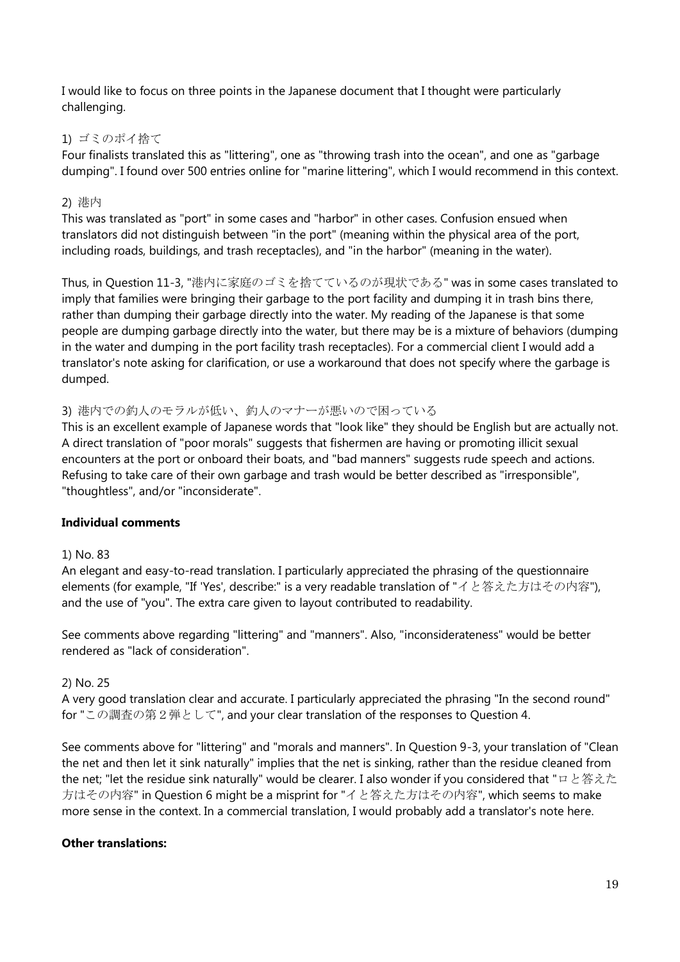I would like to focus on three points in the Japanese document that I thought were particularly challenging.

## 1) ゴミのポイ捨て

Four finalists translated this as "littering", one as "throwing trash into the ocean", and one as "garbage dumping". I found over 500 entries online for "marine littering", which I would recommend in this context.

## 2) 港内

This was translated as "port" in some cases and "harbor" in other cases. Confusion ensued when translators did not distinguish between "in the port" (meaning within the physical area of the port, including roads, buildings, and trash receptacles), and "in the harbor" (meaning in the water).

Thus, in Question 11-3, "港内に家庭のゴミを捨てているのが現状である" was in some cases translated to imply that families were bringing their garbage to the port facility and dumping it in trash bins there, rather than dumping their garbage directly into the water. My reading of the Japanese is that some people are dumping garbage directly into the water, but there may be is a mixture of behaviors (dumping in the water and dumping in the port facility trash receptacles). For a commercial client I would add a translator's note asking for clarification, or use a workaround that does not specify where the garbage is dumped.

## 3) 港内での釣人のモラルが低い、釣人のマナーが悪いので困っている

This is an excellent example of Japanese words that "look like" they should be English but are actually not. A direct translation of "poor morals" suggests that fishermen are having or promoting illicit sexual encounters at the port or onboard their boats, and "bad manners" suggests rude speech and actions. Refusing to take care of their own garbage and trash would be better described as "irresponsible", "thoughtless", and/or "inconsiderate".

## **Individual comments**

## 1) No. 83

An elegant and easy-to-read translation. I particularly appreciated the phrasing of the questionnaire elements (for example, "If 'Yes', describe:" is a very readable translation of "イと答えた方はその内容"), and the use of "you". The extra care given to layout contributed to readability.

See comments above regarding "littering" and "manners". Also, "inconsiderateness" would be better rendered as "lack of consideration".

## 2) No. 25

A very good translation clear and accurate. I particularly appreciated the phrasing "In the second round" for "この調査の第2弾として", and your clear translation of the responses to Question 4.

See comments above for "littering" and "morals and manners". In Question 9-3, your translation of "Clean the net and then let it sink naturally" implies that the net is sinking, rather than the residue cleaned from the net; "let the residue sink naturally" would be clearer. I also wonder if you considered that "ロと答えた 方はその内容" in Question 6 might be a misprint for "イと答えた方はその内容", which seems to make more sense in the context. In a commercial translation, I would probably add a translator's note here.

## **Other translations:**